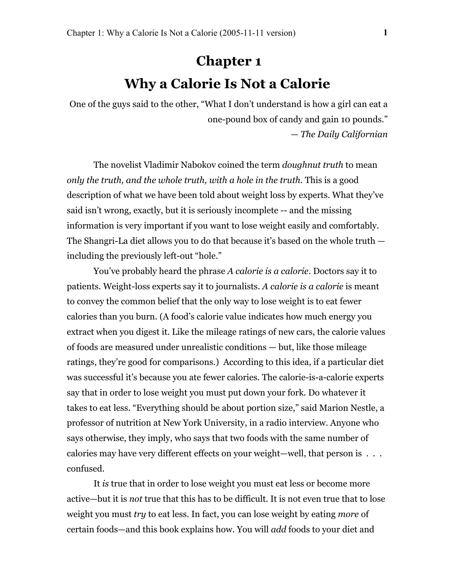# **Chapter 1 Why a Calorie Is Not a Calorie**

One of the guys said to the other, "What I don't understand is how a girl can eat a one-pound box of candy and gain 10 pounds." — *The Daily Californian*

The novelist Vladimir Nabokov coined the term *doughnut truth* to mean *only the truth, and the whole truth, with a hole in the truth*. This is a good description of what we have been told about weight loss by experts. What they've said isn't wrong, exactly, but it is seriously incomplete -- and the missing information is very important if you want to lose weight easily and comfortably. The Shangri-La diet allows you to do that because it's based on the whole truth including the previously left-out "hole."

You've probably heard the phrase *A calorie is a calorie*. Doctors say it to patients. Weight-loss experts say it to journalists. *A calorie is a calorie* is meant to convey the common belief that the only way to lose weight is to eat fewer calories than you burn. (A food's calorie value indicates how much energy you extract when you digest it. Like the mileage ratings of new cars, the calorie values of foods are measured under unrealistic conditions — but, like those mileage ratings, they're good for comparisons.) According to this idea, if a particular diet was successful it's because you ate fewer calories. The calorie-is-a-calorie experts say that in order to lose weight you must put down your fork. Do whatever it takes to eat less. "Everything should be about portion size," said Marion Nestle, a professor of nutrition at New York University, in a radio interview. Anyone who says otherwise, they imply, who says that two foods with the same number of calories may have very different effects on your weight—well, that person is . . . confused.

It *is* true that in order to lose weight you must eat less or become more active—but it is *not* true that this has to be difficult. It is not even true that to lose weight you must *try* to eat less. In fact, you can lose weight by eating *more* of certain foods—and this book explains how. You will *add* foods to your diet and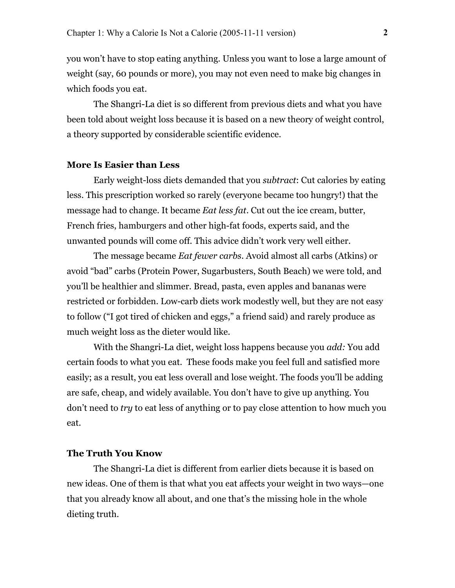you won't have to stop eating anything. Unless you want to lose a large amount of weight (say, 60 pounds or more), you may not even need to make big changes in which foods you eat.

The Shangri-La diet is so different from previous diets and what you have been told about weight loss because it is based on a new theory of weight control, a theory supported by considerable scientific evidence.

## **More Is Easier than Less**

Early weight-loss diets demanded that you *subtract*: Cut calories by eating less. This prescription worked so rarely (everyone became too hungry!) that the message had to change. It became *Eat less fat*. Cut out the ice cream, butter, French fries, hamburgers and other high-fat foods, experts said, and the unwanted pounds will come off. This advice didn't work very well either.

The message became *Eat fewer carbs*. Avoid almost all carbs (Atkins) or avoid "bad" carbs (Protein Power, Sugarbusters, South Beach) we were told, and you'll be healthier and slimmer. Bread, pasta, even apples and bananas were restricted or forbidden. Low-carb diets work modestly well, but they are not easy to follow ("I got tired of chicken and eggs," a friend said) and rarely produce as much weight loss as the dieter would like.

With the Shangri-La diet, weight loss happens because you *add:* You add certain foods to what you eat. These foods make you feel full and satisfied more easily; as a result, you eat less overall and lose weight. The foods you'll be adding are safe, cheap, and widely available. You don't have to give up anything. You don't need to *try* to eat less of anything or to pay close attention to how much you eat.

## **The Truth You Know**

The Shangri-La diet is different from earlier diets because it is based on new ideas. One of them is that what you eat affects your weight in two ways—one that you already know all about, and one that's the missing hole in the whole dieting truth.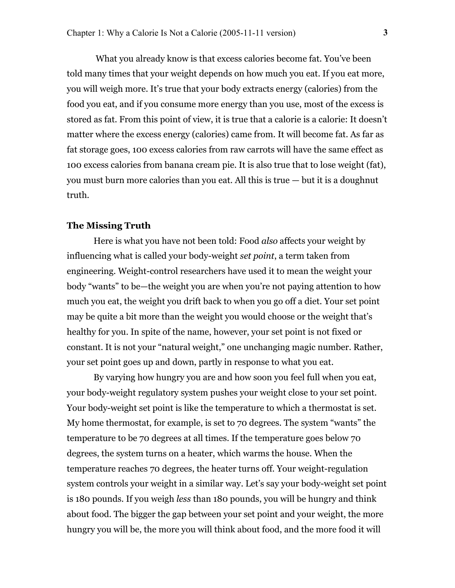What you already know is that excess calories become fat. You've been told many times that your weight depends on how much you eat. If you eat more, you will weigh more. It's true that your body extracts energy (calories) from the food you eat, and if you consume more energy than you use, most of the excess is stored as fat. From this point of view, it is true that a calorie is a calorie: It doesn't matter where the excess energy (calories) came from. It will become fat. As far as fat storage goes, 100 excess calories from raw carrots will have the same effect as 100 excess calories from banana cream pie. It is also true that to lose weight (fat), you must burn more calories than you eat. All this is true — but it is a doughnut truth.

## **The Missing Truth**

Here is what you have not been told: Food *also* affects your weight by influencing what is called your body-weight *set point*, a term taken from engineering. Weight-control researchers have used it to mean the weight your body "wants" to be—the weight you are when you're not paying attention to how much you eat, the weight you drift back to when you go off a diet. Your set point may be quite a bit more than the weight you would choose or the weight that's healthy for you. In spite of the name, however, your set point is not fixed or constant. It is not your "natural weight," one unchanging magic number. Rather, your set point goes up and down, partly in response to what you eat.

By varying how hungry you are and how soon you feel full when you eat, your body-weight regulatory system pushes your weight close to your set point. Your body-weight set point is like the temperature to which a thermostat is set. My home thermostat, for example, is set to 70 degrees. The system "wants" the temperature to be 70 degrees at all times. If the temperature goes below 70 degrees, the system turns on a heater, which warms the house. When the temperature reaches 70 degrees, the heater turns off. Your weight-regulation system controls your weight in a similar way. Let's say your body-weight set point is 180 pounds. If you weigh *less* than 180 pounds, you will be hungry and think about food. The bigger the gap between your set point and your weight, the more hungry you will be, the more you will think about food, and the more food it will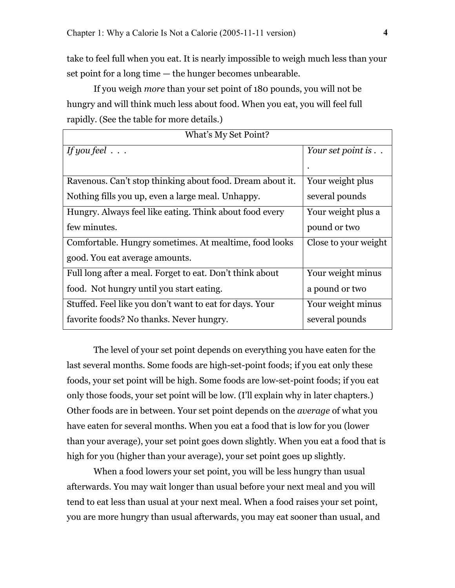take to feel full when you eat. It is nearly impossible to weigh much less than your set point for a long time — the hunger becomes unbearable.

If you weigh *more* than your set point of 180 pounds, you will not be hungry and will think much less about food. When you eat, you will feel full rapidly. (See the table for more details.)

| What's My Set Point?                                      |                      |
|-----------------------------------------------------------|----------------------|
| If you feel $\ldots$                                      | Your set point is    |
|                                                           |                      |
| Ravenous. Can't stop thinking about food. Dream about it. | Your weight plus     |
| Nothing fills you up, even a large meal. Unhappy.         | several pounds       |
| Hungry. Always feel like eating. Think about food every   | Your weight plus a   |
| few minutes.                                              | pound or two         |
| Comfortable. Hungry sometimes. At mealtime, food looks    | Close to your weight |
| good. You eat average amounts.                            |                      |
| Full long after a meal. Forget to eat. Don't think about  | Your weight minus    |
| food. Not hungry until you start eating.                  | a pound or two       |
| Stuffed. Feel like you don't want to eat for days. Your   | Your weight minus    |
| favorite foods? No thanks. Never hungry.                  | several pounds       |

The level of your set point depends on everything you have eaten for the last several months. Some foods are high-set-point foods; if you eat only these foods, your set point will be high. Some foods are low-set-point foods; if you eat only those foods, your set point will be low. (I'll explain why in later chapters.) Other foods are in between. Your set point depends on the *average* of what you have eaten for several months. When you eat a food that is low for you (lower than your average), your set point goes down slightly. When you eat a food that is high for you (higher than your average), your set point goes up slightly.

When a food lowers your set point, you will be less hungry than usual afterwards. You may wait longer than usual before your next meal and you will tend to eat less than usual at your next meal. When a food raises your set point, you are more hungry than usual afterwards, you may eat sooner than usual, and